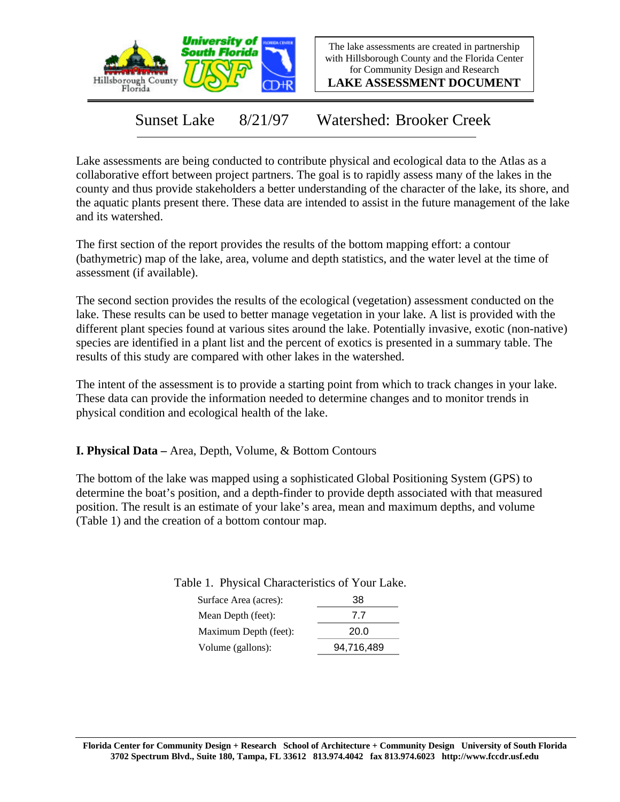

The lake assessments are created in partnership with Hillsborough County and the Florida Center for Community Design and Research

**LAKE ASSESSMENT DOCUMENT**

Sunset Lake 8/21/97 Watershed: Brooker Creek

Lake assessments are being conducted to contribute physical and ecological data to the Atlas as a collaborative effort between project partners. The goal is to rapidly assess many of the lakes in the county and thus provide stakeholders a better understanding of the character of the lake, its shore, and the aquatic plants present there. These data are intended to assist in the future management of the lake and its watershed.

The first section of the report provides the results of the bottom mapping effort: a contour (bathymetric) map of the lake, area, volume and depth statistics, and the water level at the time of assessment (if available).

The second section provides the results of the ecological (vegetation) assessment conducted on the lake. These results can be used to better manage vegetation in your lake. A list is provided with the different plant species found at various sites around the lake. Potentially invasive, exotic (non-native) species are identified in a plant list and the percent of exotics is presented in a summary table. The results of this study are compared with other lakes in the watershed.

The intent of the assessment is to provide a starting point from which to track changes in your lake. These data can provide the information needed to determine changes and to monitor trends in physical condition and ecological health of the lake.

**I. Physical Data –** Area, Depth, Volume, & Bottom Contours

The bottom of the lake was mapped using a sophisticated Global Positioning System (GPS) to determine the boat's position, and a depth-finder to provide depth associated with that measured position. The result is an estimate of your lake's area, mean and maximum depths, and volume (Table 1) and the creation of a bottom contour map.

Table 1. Physical Characteristics of Your Lake.

| Surface Area (acres): | 38         |
|-----------------------|------------|
| Mean Depth (feet):    | 77         |
| Maximum Depth (feet): | 20.0       |
| Volume (gallons):     | 94,716,489 |
|                       |            |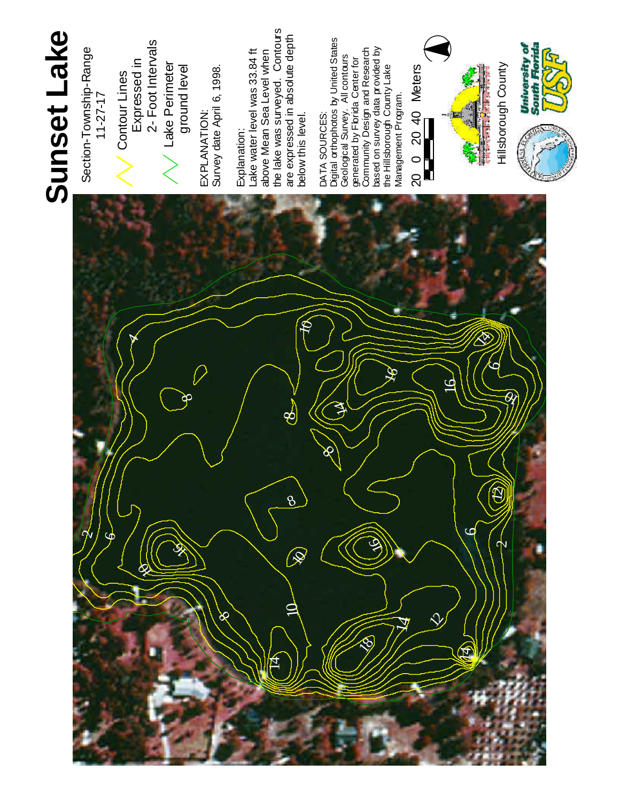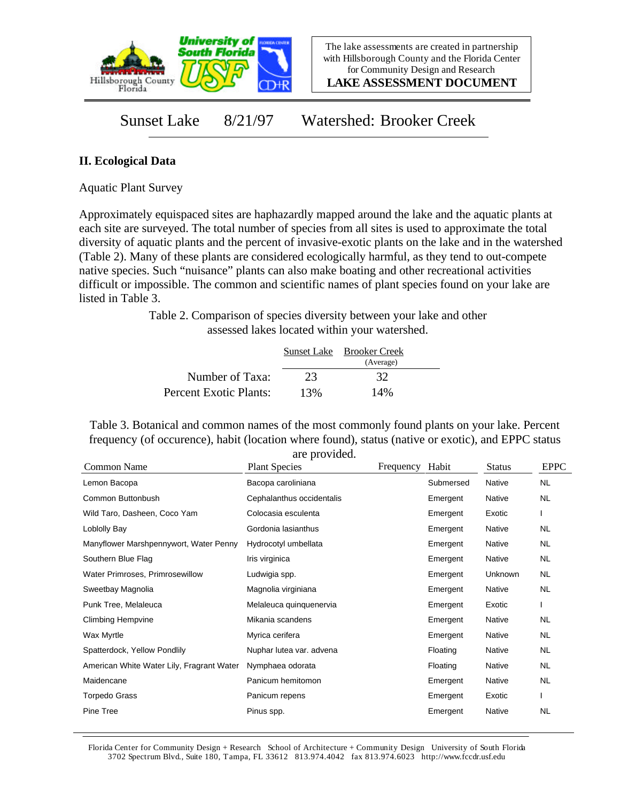

**LAKE ASSESSMENT DOCUMENT**

## Sunset Lake 8/21/97 Watershed: Brooker Creek

## **II. Ecological Data**

Aquatic Plant Survey

Approximately equispaced sites are haphazardly mapped around the lake and the aquatic plants at each site are surveyed. The total number of species from all sites is used to approximate the total diversity of aquatic plants and the percent of invasive-exotic plants on the lake and in the watershed (Table 2). Many of these plants are considered ecologically harmful, as they tend to out-compete native species. Such "nuisance" plants can also make boating and other recreational activities difficult or impossible. The common and scientific names of plant species found on your lake are listed in Table 3.

> Table 2. Comparison of species diversity between your lake and other assessed lakes located within your watershed.

|                        |     | Sunset Lake Brooker Creek |  |
|------------------------|-----|---------------------------|--|
|                        |     | (Average)                 |  |
| Number of Taxa:        | 23  | 32                        |  |
| Percent Exotic Plants: | 13% | 14%                       |  |

Table 3. Botanical and common names of the most commonly found plants on your lake. Percent frequency (of occurence), habit (location where found), status (native or exotic), and EPPC status are provided.

| <b>Common Name</b>                        | $\mathfrak{u}$ . provided.<br><b>Plant Species</b> | Frequency | Habit     | <b>Status</b> | <b>EPPC</b> |
|-------------------------------------------|----------------------------------------------------|-----------|-----------|---------------|-------------|
| Lemon Bacopa                              | Bacopa caroliniana                                 |           | Submersed | Native        | <b>NL</b>   |
| Common Buttonbush                         | Cephalanthus occidentalis                          |           | Emergent  | Native        | <b>NL</b>   |
| Wild Taro, Dasheen, Coco Yam              | Colocasia esculenta                                |           | Emergent  | Exotic        |             |
| Loblolly Bay                              | Gordonia lasianthus                                |           | Emergent  | Native        | NL.         |
| Manyflower Marshpennywort, Water Penny    | Hydrocotyl umbellata                               |           | Emergent  | Native        | NL.         |
| Southern Blue Flag                        | Iris virginica                                     |           | Emergent  | Native        | <b>NL</b>   |
| Water Primroses, Primrosewillow           | Ludwigia spp.                                      |           | Emergent  | Unknown       | NL.         |
| Sweetbay Magnolia                         | Magnolia virginiana                                |           | Emergent  | Native        | NL.         |
| Punk Tree, Melaleuca                      | Melaleuca quinquenervia                            |           | Emergent  | Exotic        |             |
| <b>Climbing Hempvine</b>                  | Mikania scandens                                   |           | Emergent  | Native        | <b>NL</b>   |
| Wax Myrtle                                | Myrica cerifera                                    |           | Emergent  | Native        | <b>NL</b>   |
| Spatterdock, Yellow Pondlily              | Nuphar lutea var. advena                           |           | Floating  | Native        | NL          |
| American White Water Lily, Fragrant Water | Nymphaea odorata                                   |           | Floating  | Native        | NL          |
| Maidencane                                | Panicum hemitomon                                  |           | Emergent  | Native        | <b>NL</b>   |
| <b>Torpedo Grass</b>                      | Panicum repens                                     |           | Emergent  | Exotic        |             |
| Pine Tree                                 | Pinus spp.                                         |           | Emergent  | Native        | <b>NL</b>   |

Florida Center for Community Design + Research School of Architecture + Community Design University of South Florida 3702 Spectrum Blvd., Suite 180, Tampa, FL 33612 813.974.4042 fax 813.974.6023 http://www.fccdr.usf.edu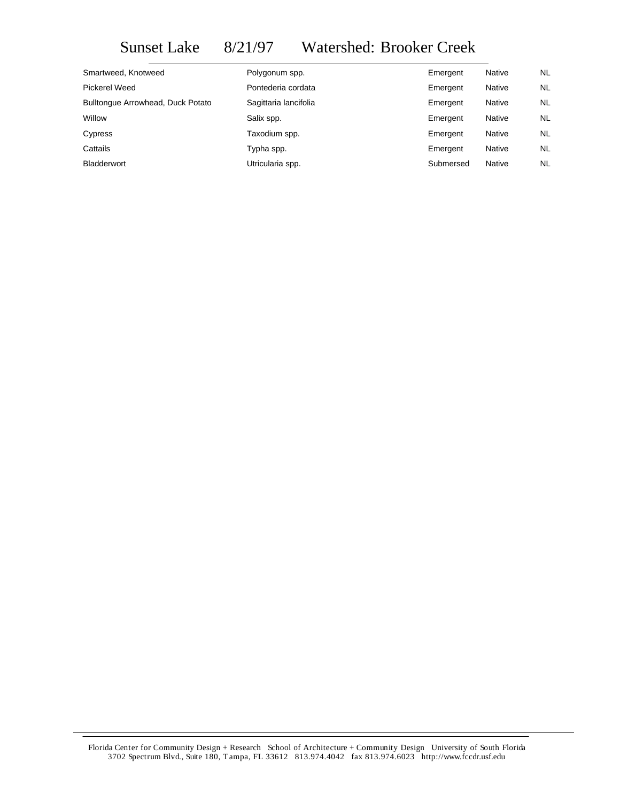## Sunset Lake 8/21/97 Watershed: Brooker Creek

| Smartweed, Knotweed               | Polygonum spp.        | Emergent  | <b>Native</b> | NL.       |
|-----------------------------------|-----------------------|-----------|---------------|-----------|
| Pickerel Weed                     | Pontederia cordata    | Emergent  | Native        | NL.       |
| Bulltonque Arrowhead, Duck Potato | Sagittaria lancifolia | Emergent  | Native        | NL.       |
| Willow                            | Salix spp.            | Emergent  | Native        | NL.       |
| Cypress                           | Taxodium spp.         | Emergent  | Native        | NL.       |
| Cattails                          | Typha spp.            | Emergent  | Native        | NL.       |
| <b>Bladderwort</b>                | Utricularia spp.      | Submersed | Native        | <b>NL</b> |

Florida Center for Community Design + Research School of Architecture + Community Design University of South Florida 3702 Spectrum Blvd., Suite 180, Tampa, FL 33612 813.974.4042 fax 813.974.6023 http://www.fccdr.usf.edu